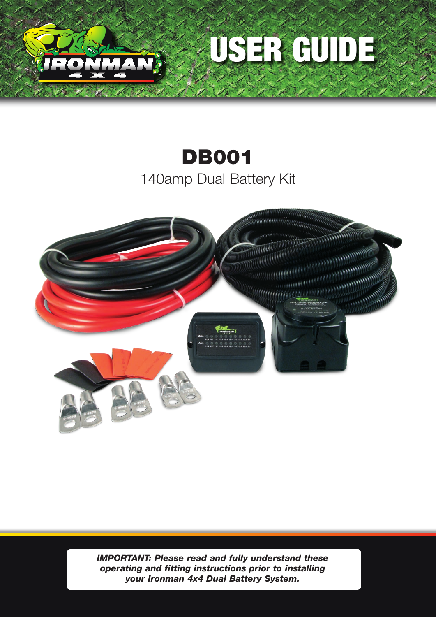



# DB001 140amp Dual Battery Kit



*IMPORTANT: Please read and fully understand these operating and fitting instructions prior to installing your Ironman 4x4 Dual Battery System.*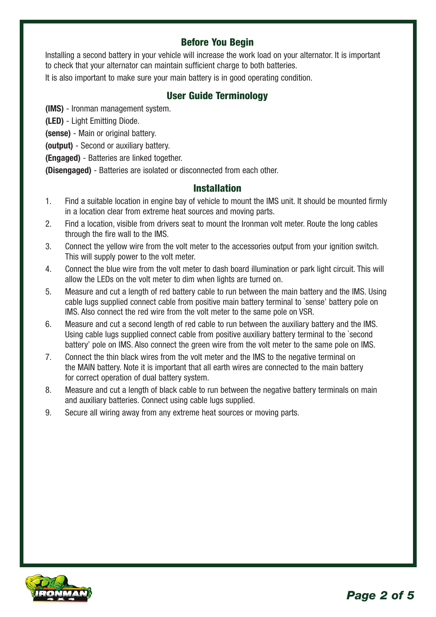# Before You Begin

Installing a second battery in your vehicle will increase the work load on your alternator. It is important to check that your alternator can maintain sufficient charge to both batteries.

It is also important to make sure your main battery is in good operating condition.

## User Guide Terminology

**(IMS)** - Ironman management system.

**(LED)** - Light Emitting Diode.

**(sense)** - Main or original battery.

**(output)** - Second or auxiliary battery.

**(Engaged)** - Batteries are linked together.

**(Disengaged)** - Batteries are isolated or disconnected from each other.

### Installation

- 1. Find a suitable location in engine bay of vehicle to mount the IMS unit. It should be mounted firmly in a location clear from extreme heat sources and moving parts.
- 2. Find a location, visible from drivers seat to mount the Ironman volt meter. Route the long cables through the fire wall to the IMS.
- 3. Connect the yellow wire from the volt meter to the accessories output from your ignition switch. This will supply power to the volt meter.
- 4. Connect the blue wire from the volt meter to dash board illumination or park light circuit. This will allow the LEDs on the volt meter to dim when lights are turned on.
- 5. Measure and cut a length of red battery cable to run between the main battery and the IMS. Using cable lugs supplied connect cable from positive main battery terminal to `sense' battery pole on IMS. Also connect the red wire from the volt meter to the same pole on VSR.
- 6. Measure and cut a second length of red cable to run between the auxiliary battery and the IMS. Using cable lugs supplied connect cable from positive auxiliary battery terminal to the `second battery' pole on IMS. Also connect the green wire from the volt meter to the same pole on IMS.
- 7. Connect the thin black wires from the volt meter and the IMS to the negative terminal on the MAIN battery. Note it is important that all earth wires are connected to the main battery for correct operation of dual battery system.
- 8. Measure and cut a length of black cable to run between the negative battery terminals on main and auxiliary batteries. Connect using cable lugs supplied.
- 9. Secure all wiring away from any extreme heat sources or moving parts.

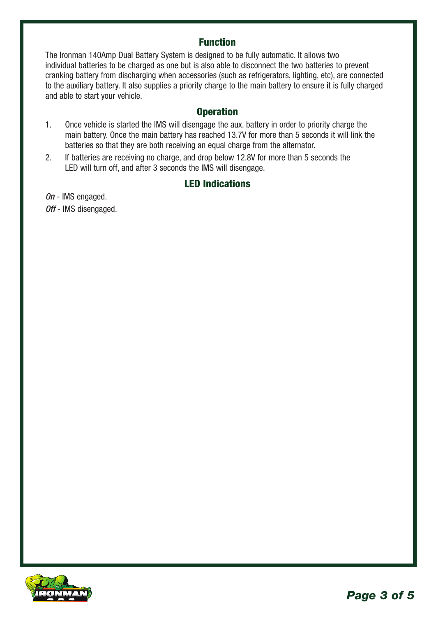## Function

The Ironman 140Amp Dual Battery System is designed to be fully automatic. It allows two individual batteries to be charged as one but is also able to disconnect the two batteries to prevent cranking battery from discharging when accessories (such as refrigerators, lighting, etc), are connected to the auxiliary battery. It also supplies a priority charge to the main battery to ensure it is fully charged and able to start your vehicle.

## **Operation**

- 1. Once vehicle is started the IMS will disengage the aux. battery in order to priority charge the main battery. Once the main battery has reached 13.7V for more than 5 seconds it will link the batteries so that they are both receiving an equal charge from the alternator.
- 2. If batteries are receiving no charge, and drop below 12.8V for more than 5 seconds the LED will turn off, and after 3 seconds the IMS will disengage.

## LED Indications

*On* - IMS engaged. *Off* - IMS disengaged.

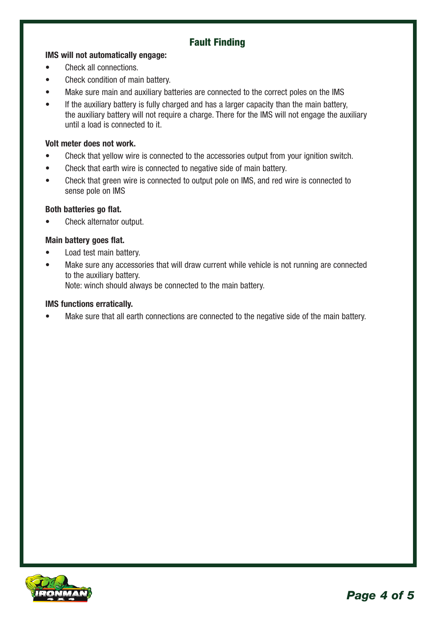# Fault Finding

#### **IMS will not automatically engage:**

- Check all connections.
- Check condition of main battery.
- Make sure main and auxiliary batteries are connected to the correct poles on the IMS
- If the auxiliary battery is fully charged and has a larger capacity than the main battery, the auxiliary battery will not require a charge. There for the IMS will not engage the auxiliary until a load is connected to it.

#### **Volt meter does not work.**

- Check that yellow wire is connected to the accessories output from your ignition switch.
- Check that earth wire is connected to negative side of main battery.
- Check that green wire is connected to output pole on IMS, and red wire is connected to sense pole on IMS

#### **Both batteries go flat.**

• Check alternator output.

#### **Main battery goes flat.**

- Load test main battery.
- Make sure any accessories that will draw current while vehicle is not running are connected to the auxiliary battery. Note: winch should always be connected to the main battery.

# **IMS functions erratically.**

Make sure that all earth connections are connected to the negative side of the main battery.